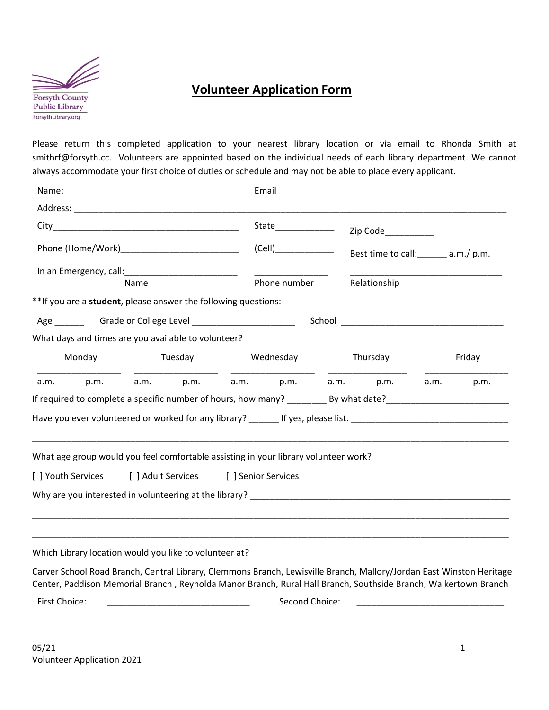

## **Volunteer Application Form**

Please return this completed application to your nearest library location or via email to Rhonda Smith at smithrf@forsyth.cc. Volunteers are appointed based on the individual needs of each library department. We cannot always accommodate your first choice of duties or schedule and may not be able to place every applicant.

|                                                |                                                                                     |      |  |                   |              | Zip Code__________ |                                                                                                                      |        |      |
|------------------------------------------------|-------------------------------------------------------------------------------------|------|--|-------------------|--------------|--------------------|----------------------------------------------------------------------------------------------------------------------|--------|------|
| Phone (Home/Work)_____________________________ |                                                                                     |      |  |                   | (Cell)       |                    | Best time to call: ______ a.m./ p.m.                                                                                 |        |      |
|                                                |                                                                                     |      |  |                   |              |                    |                                                                                                                      |        |      |
|                                                |                                                                                     | Name |  |                   | Phone number |                    | Relationship                                                                                                         |        |      |
|                                                | ** If you are a student, please answer the following questions:                     |      |  |                   |              |                    |                                                                                                                      |        |      |
|                                                |                                                                                     |      |  |                   |              |                    |                                                                                                                      |        |      |
|                                                | What days and times are you available to volunteer?                                 |      |  |                   |              |                    |                                                                                                                      |        |      |
| Monday                                         |                                                                                     |      |  | Tuesday Mednesday |              | Thursday           |                                                                                                                      | Friday |      |
| a.m.                                           |                                                                                     |      |  |                   |              |                    | p.m. a.m. p.m. a.m. p.m. a.m. p.m. a.m.                                                                              |        | p.m. |
|                                                |                                                                                     |      |  |                   |              |                    |                                                                                                                      |        |      |
|                                                |                                                                                     |      |  |                   |              |                    | Have you ever volunteered or worked for any library? ______ If yes, please list. ___________________________________ |        |      |
|                                                |                                                                                     |      |  |                   |              |                    |                                                                                                                      |        |      |
|                                                | What age group would you feel comfortable assisting in your library volunteer work? |      |  |                   |              |                    |                                                                                                                      |        |      |
|                                                |                                                                                     |      |  |                   |              |                    |                                                                                                                      |        |      |
|                                                | [ ] Youth Services [ ] Adult Services [ ] Senior Services                           |      |  |                   |              |                    |                                                                                                                      |        |      |
|                                                |                                                                                     |      |  |                   |              |                    |                                                                                                                      |        |      |
|                                                |                                                                                     |      |  |                   |              |                    |                                                                                                                      |        |      |
|                                                |                                                                                     |      |  |                   |              |                    |                                                                                                                      |        |      |
|                                                |                                                                                     |      |  |                   |              |                    |                                                                                                                      |        |      |

Which Library location would you like to volunteer at?

Carver School Road Branch, Central Library, Clemmons Branch, Lewisville Branch, Mallory/Jordan East Winston Heritage Center, Paddison Memorial Branch , Reynolda Manor Branch, Rural Hall Branch, Southside Branch, Walkertown Branch

First Choice: \_\_\_\_\_\_\_\_\_\_\_\_\_\_\_\_\_\_\_\_\_\_\_\_\_\_\_\_\_ Second Choice: \_\_\_\_\_\_\_\_\_\_\_\_\_\_\_\_\_\_\_\_\_\_\_\_\_\_\_\_\_\_